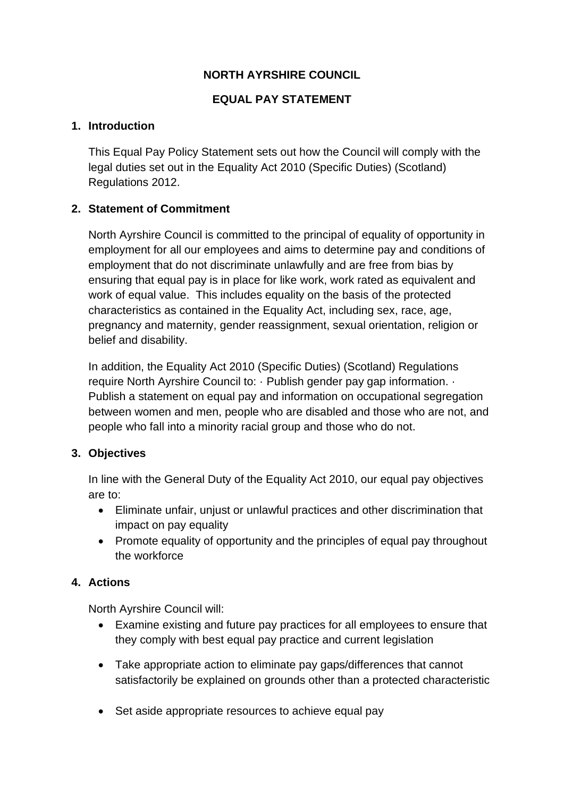# **NORTH AYRSHIRE COUNCIL**

# **EQUAL PAY STATEMENT**

#### **1. Introduction**

This Equal Pay Policy Statement sets out how the Council will comply with the legal duties set out in the Equality Act 2010 (Specific Duties) (Scotland) Regulations 2012.

## **2. Statement of Commitment**

North Ayrshire Council is committed to the principal of equality of opportunity in employment for all our employees and aims to determine pay and conditions of employment that do not discriminate unlawfully and are free from bias by ensuring that equal pay is in place for like work, work rated as equivalent and work of equal value. This includes equality on the basis of the protected characteristics as contained in the Equality Act, including sex, race, age, pregnancy and maternity, gender reassignment, sexual orientation, religion or belief and disability.

In addition, the Equality Act 2010 (Specific Duties) (Scotland) Regulations require North Ayrshire Council to: · Publish gender pay gap information. · Publish a statement on equal pay and information on occupational segregation between women and men, people who are disabled and those who are not, and people who fall into a minority racial group and those who do not.

## **3. Objectives**

In line with the General Duty of the Equality Act 2010, our equal pay objectives are to:

- Eliminate unfair, unjust or unlawful practices and other discrimination that impact on pay equality
- Promote equality of opportunity and the principles of equal pay throughout the workforce

## **4. Actions**

North Ayrshire Council will:

- Examine existing and future pay practices for all employees to ensure that they comply with best equal pay practice and current legislation
- Take appropriate action to eliminate pay gaps/differences that cannot satisfactorily be explained on grounds other than a protected characteristic
- Set aside appropriate resources to achieve equal pay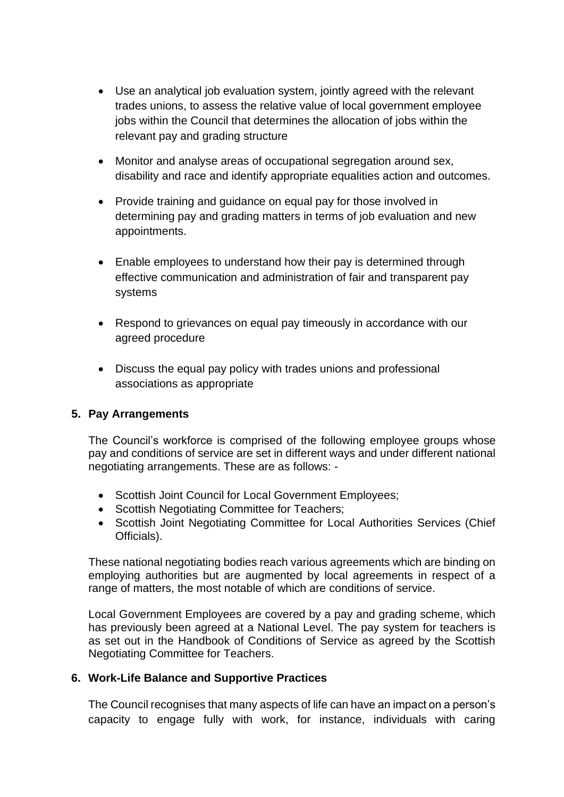- Use an analytical job evaluation system, jointly agreed with the relevant trades unions, to assess the relative value of local government employee jobs within the Council that determines the allocation of jobs within the relevant pay and grading structure
- Monitor and analyse areas of occupational segregation around sex, disability and race and identify appropriate equalities action and outcomes.
- Provide training and quidance on equal pay for those involved in determining pay and grading matters in terms of job evaluation and new appointments.
- Enable employees to understand how their pay is determined through effective communication and administration of fair and transparent pay systems
- Respond to grievances on equal pay timeously in accordance with our agreed procedure
- Discuss the equal pay policy with trades unions and professional associations as appropriate

## **5. Pay Arrangements**

The Council's workforce is comprised of the following employee groups whose pay and conditions of service are set in different ways and under different national negotiating arrangements. These are as follows: -

- Scottish Joint Council for Local Government Employees;
- Scottish Negotiating Committee for Teachers;
- Scottish Joint Negotiating Committee for Local Authorities Services (Chief Officials).

These national negotiating bodies reach various agreements which are binding on employing authorities but are augmented by local agreements in respect of a range of matters, the most notable of which are conditions of service.

Local Government Employees are covered by a pay and grading scheme, which has previously been agreed at a National Level. The pay system for teachers is as set out in the Handbook of Conditions of Service as agreed by the Scottish Negotiating Committee for Teachers.

## **6. Work-Life Balance and Supportive Practices**

The Council recognises that many aspects of life can have an impact on a person's capacity to engage fully with work, for instance, individuals with caring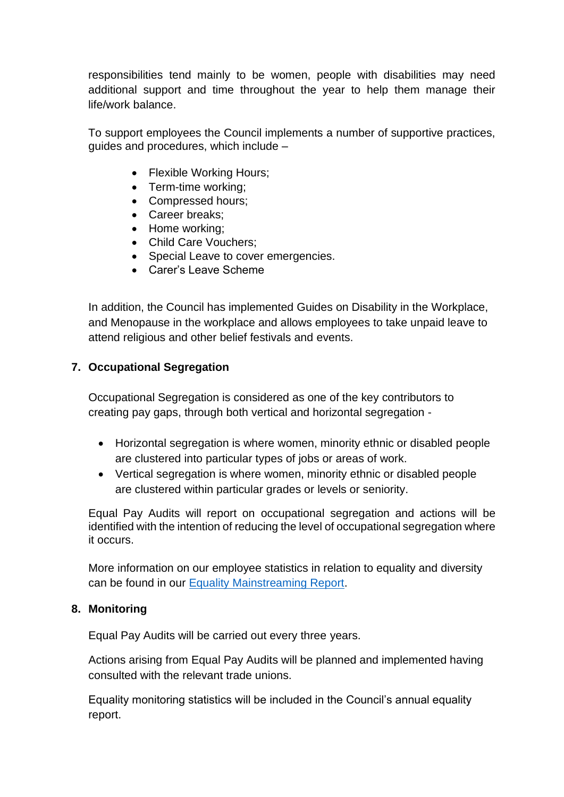responsibilities tend mainly to be women, people with disabilities may need additional support and time throughout the year to help them manage their life/work balance.

To support employees the Council implements a number of supportive practices, guides and procedures, which include –

- Flexible Working Hours;
- Term-time working;
- Compressed hours;
- Career breaks;
- Home working;
- Child Care Vouchers;
- Special Leave to cover emergencies.
- Carer's Leave Scheme

In addition, the Council has implemented Guides on Disability in the Workplace, and Menopause in the workplace and allows employees to take unpaid leave to attend religious and other belief festivals and events.

## **7. Occupational Segregation**

Occupational Segregation is considered as one of the key contributors to creating pay gaps, through both vertical and horizontal segregation -

- Horizontal segregation is where women, minority ethnic or disabled people are clustered into particular types of jobs or areas of work.
- Vertical segregation is where women, minority ethnic or disabled people are clustered within particular grades or levels or seniority.

Equal Pay Audits will report on occupational segregation and actions will be identified with the intention of reducing the level of occupational segregation where it occurs.

More information on our employee statistics in relation to equality and diversity can be found in our [Equality Mainstreaming Report.](https://www.north-ayrshire.gov.uk/council/strategies-plans-and-policies/equality-policy-and-performance.aspx)

#### **8. Monitoring**

Equal Pay Audits will be carried out every three years.

Actions arising from Equal Pay Audits will be planned and implemented having consulted with the relevant trade unions.

Equality monitoring statistics will be included in the Council's annual equality report.